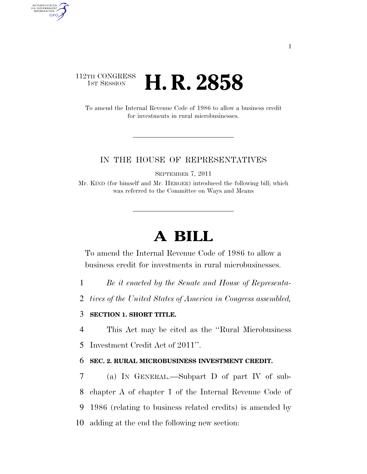# 112TH CONGRESS <sup>TH CONGRESS</sup> **H. R. 2858**

AUTHENTICATED U.S. GOVERNMENT GPO

> To amend the Internal Revenue Code of 1986 to allow a business credit for investments in rural microbusinesses.

## IN THE HOUSE OF REPRESENTATIVES

SEPTEMBER 7, 2011

Mr. KIND (for himself and Mr. HERGER) introduced the following bill; which was referred to the Committee on Ways and Means

# **A BILL**

To amend the Internal Revenue Code of 1986 to allow a business credit for investments in rural microbusinesses.

1 *Be it enacted by the Senate and House of Representa-*

2 *tives of the United States of America in Congress assembled,* 

# 3 **SECTION 1. SHORT TITLE.**

4 This Act may be cited as the ''Rural Microbusiness 5 Investment Credit Act of 2011''.

#### 6 **SEC. 2. RURAL MICROBUSINESS INVESTMENT CREDIT.**

 (a) IN GENERAL.—Subpart D of part IV of sub- chapter A of chapter 1 of the Internal Revenue Code of 1986 (relating to business related credits) is amended by adding at the end the following new section: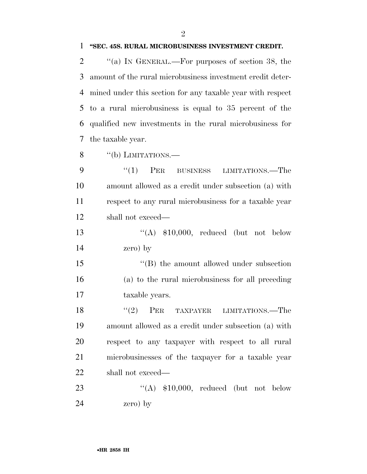### **''SEC. 45S. RURAL MICROBUSINESS INVESTMENT CREDIT.**

 $\%$  (a) In GENERAL.—For purposes of section 38, the amount of the rural microbusiness investment credit deter- mined under this section for any taxable year with respect to a rural microbusiness is equal to 35 percent of the qualified new investments in the rural microbusiness for the taxable year.

 $\frac{8}{100}$   $\frac{100}{100}$  LIMITATIONS.

9 "(1) PER BUSINESS LIMITATIONS.—The amount allowed as a credit under subsection (a) with respect to any rural microbusiness for a taxable year shall not exceed—

13  $((A)$  \$10,000, reduced (but not below zero) by

 ''(B) the amount allowed under subsection (a) to the rural microbusiness for all preceding taxable years.

18 ''(2) PER TAXPAYER LIMITATIONS.—The amount allowed as a credit under subsection (a) with respect to any taxpayer with respect to all rural microbusinesses of the taxpayer for a taxable year shall not exceed—

23 "(A) \$10,000, reduced (but not below zero) by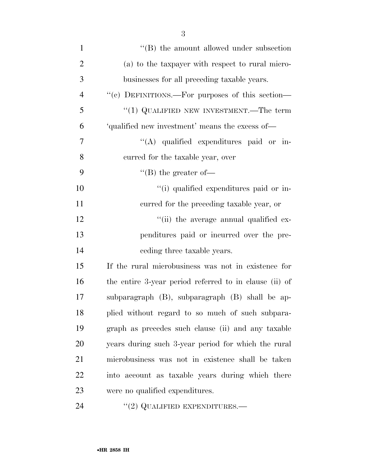| $\mathbf{1}$   | $\lq\lq$ the amount allowed under subsection           |
|----------------|--------------------------------------------------------|
| $\overline{2}$ | (a) to the taxpayer with respect to rural micro-       |
| 3              | businesses for all preceding taxable years.            |
| $\overline{4}$ | "(c) DEFINITIONS.—For purposes of this section—        |
| 5              | "(1) QUALIFIED NEW INVESTMENT.—The term                |
| 6              | 'qualified new investment' means the excess of-        |
| 7              | "(A) qualified expenditures paid or in-                |
| 8              | curred for the taxable year, over                      |
| 9              | $\lq\lq (B)$ the greater of-                           |
| 10             | "(i) qualified expenditures paid or in-                |
| 11             | curred for the preceding taxable year, or              |
| 12             | "(ii) the average annual qualified ex-                 |
| 13             | penditures paid or incurred over the pre-              |
| 14             | ceding three taxable years.                            |
| 15             | If the rural microbusiness was not in existence for    |
| 16             | the entire 3-year period referred to in clause (ii) of |
| 17             | subparagraph (B), subparagraph (B) shall be ap-        |
| 18             | plied without regard to so much of such subpara-       |
| 19             | graph as precedes such clause (ii) and any taxable     |
| 20             | years during such 3-year period for which the rural    |
| 21             | microbusiness was not in existence shall be taken      |
| 22             | into account as taxable years during which there       |
| 23             | were no qualified expenditures.                        |
|                |                                                        |

24 ''(2) QUALIFIED EXPENDITURES.—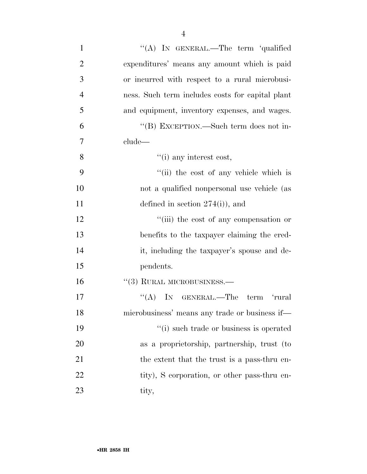| $\mathbf{1}$   | "(A) IN GENERAL.—The term 'qualified             |
|----------------|--------------------------------------------------|
| $\overline{2}$ | expenditures' means any amount which is paid     |
| 3              | or incurred with respect to a rural microbusi-   |
| $\overline{4}$ | ness. Such term includes costs for capital plant |
| 5              | and equipment, inventory expenses, and wages.    |
| 6              | "(B) EXCEPTION.—Such term does not in-           |
| 7              | clude                                            |
| 8              | $\lq\lq$ (i) any interest cost,                  |
| 9              | "(ii) the cost of any vehicle which is           |
| 10             | not a qualified nonpersonal use vehicle (as      |
| 11             | defined in section $274(i)$ , and                |
| 12             | "(iii) the cost of any compensation or           |
| 13             | benefits to the taxpayer claiming the cred-      |
| 14             | it, including the taxpayer's spouse and de-      |
| 15             | pendents.                                        |
| 16             | $``(3)$ RURAL MICROBUSINESS.—                    |
| 17             | "(A) IN GENERAL.—The term 'rural                 |
| 18             | microbusiness' means any trade or business if—   |
| 19             | "(i) such trade or business is operated          |
| 20             | as a proprietorship, partnership, trust (to      |
| 21             | the extent that the trust is a pass-thru en-     |
| 22             | tity), S corporation, or other pass-thru en-     |
| 23             | tity,                                            |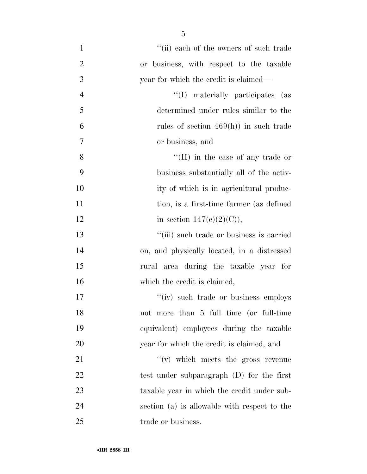| $\mathbf{1}$   | "(ii) each of the owners of such trade       |
|----------------|----------------------------------------------|
| $\overline{2}$ | or business, with respect to the taxable     |
| 3              | year for which the credit is claimed—        |
| $\overline{4}$ | "(I) materially participates (as             |
| 5              | determined under rules similar to the        |
| 6              | rules of section $469(h)$ in such trade      |
| 7              | or business, and                             |
| 8              | "(II) in the case of any trade or            |
| 9              | business substantially all of the activ-     |
| 10             | ity of which is in agricultural produc-      |
| 11             | tion, is a first-time farmer (as defined     |
| 12             | in section $147(c)(2)(C)$ ,                  |
| 13             | "(iii) such trade or business is carried     |
| 14             | on, and physically located, in a distressed  |
| 15             | rural area during the taxable year for       |
| 16             | which the credit is claimed,                 |
| 17             | "(iv) such trade or business employs"        |
| 18             | not more than 5 full time (or full-time      |
| 19             | equivalent) employees during the taxable     |
| 20             | year for which the credit is claimed, and    |
| 21             | $f'(v)$ which meets the gross revenue        |
| 22             | test under subparagraph $(D)$ for the first  |
| 23             | taxable year in which the credit under sub-  |
| 24             | section (a) is allowable with respect to the |
| 25             | trade or business.                           |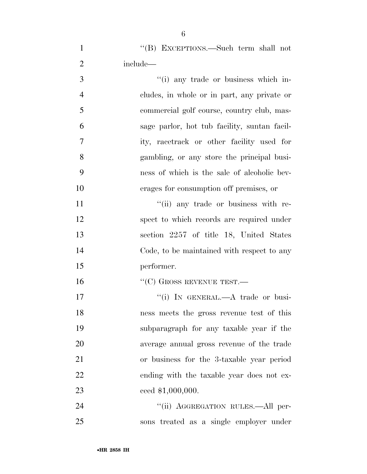| $\mathbf{1}$   | "(B) EXCEPTIONS.—Such term shall not         |
|----------------|----------------------------------------------|
| $\overline{2}$ | include—                                     |
| 3              | "(i) any trade or business which in-         |
| $\overline{4}$ | cludes, in whole or in part, any private or  |
| 5              | commercial golf course, country club, mas-   |
| 6              | sage parlor, hot tub facility, suntan facil- |
| $\overline{7}$ | ity, racetrack or other facility used for    |
| 8              | gambling, or any store the principal busi-   |
| 9              | ness of which is the sale of alcoholic bev-  |
| 10             | erages for consumption off premises, or      |
| 11             | "(ii) any trade or business with re-         |
| 12             | spect to which records are required under    |
| 13             | section 2257 of title 18, United States      |
| 14             | Code, to be maintained with respect to any   |
| 15             | performer.                                   |
| 16             | $\lq\lq(C)$ GROSS REVENUE TEST.—             |
| 17             | "(i) IN GENERAL.—A trade or busi-            |
| 18             | ness meets the gross revenue test of this    |
| 19             | subparagraph for any taxable year if the     |
| 20             | average annual gross revenue of the trade    |
| 21             | or business for the 3-taxable year period    |
| 22             | ending with the taxable year does not ex-    |
| 23             | ceed \$1,000,000.                            |

 ''(ii) AGGREGATION RULES.—All per-sons treated as a single employer under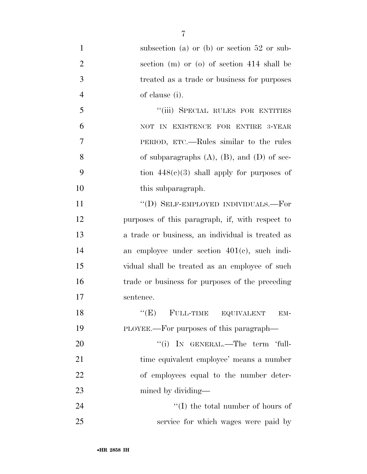1 subsection (a) or (b) or section 52 or sub- section (m) or (o) of section 414 shall be treated as a trade or business for purposes of clause (i). 5 "(iii) SPECIAL RULES FOR ENTITIES NOT IN EXISTENCE FOR ENTIRE 3-YEAR PERIOD, ETC.—Rules similar to the rules of subparagraphs (A), (B), and (D) of sec-9 tion  $448(c)(3)$  shall apply for purposes of 10 this subparagraph. 11 ""(D) SELF-EMPLOYED INDIVIDUALS.—For purposes of this paragraph, if, with respect to a trade or business, an individual is treated as an employee under section 401(c), such indi- vidual shall be treated as an employee of such trade or business for purposes of the preceding sentence. 18 "(E) FULL-TIME EQUIVALENT EM- PLOYEE.—For purposes of this paragraph—  $\text{``(i)}$  In GENERAL.—The term 'full- time equivalent employee' means a number of employees equal to the number deter- mined by dividing— 24 ''(I) the total number of hours of

service for which wages were paid by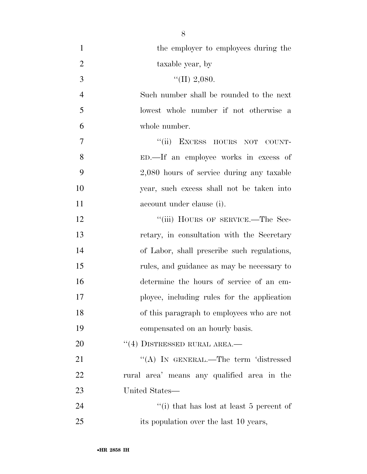| $\mathbf{1}$   | the employer to employees during the        |
|----------------|---------------------------------------------|
| $\overline{2}$ | taxable year, by                            |
| 3              | "(II) 2,080.                                |
| $\overline{4}$ | Such number shall be rounded to the next    |
| 5              | lowest whole number if not otherwise a      |
| 6              | whole number.                               |
| 7              | "(ii) EXCESS HOURS NOT COUNT-               |
| 8              | ED.—If an employee works in excess of       |
| 9              | 2,080 hours of service during any taxable   |
| 10             | year, such excess shall not be taken into   |
| 11             | account under clause (i).                   |
| 12             | "(iii) HOURS OF SERVICE.—The Sec-           |
| 13             | retary, in consultation with the Secretary  |
| 14             | of Labor, shall prescribe such regulations, |
| 15             | rules, and guidance as may be necessary to  |
| 16             | determine the hours of service of an em-    |
| 17             | ployee, including rules for the application |
| 18             | of this paragraph to employees who are not  |
| 19             | compensated on an hourly basis.             |
| 20             | $``(4)$ DISTRESSED RURAL AREA.—             |
| 21             | "(A) IN GENERAL.—The term 'distressed       |
| 22             | rural area' means any qualified area in the |
| 23             | United States—                              |
| 24             | "(i) that has lost at least 5 percent of    |
| 25             | its population over the last 10 years,      |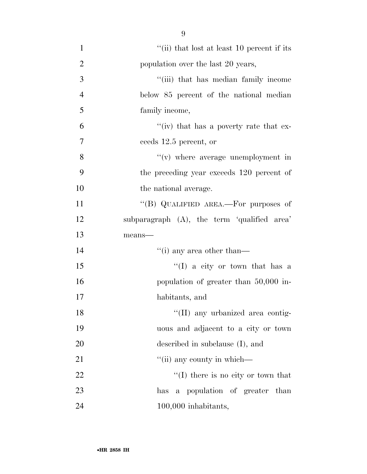1 ''(ii) that lost at least 10 percent if its 2 population over the last 20 years, 3 ''(iii) that has median family income 4 below 85 percent of the national median 5 family income,  $^{\circ}$  (iv) that has a poverty rate that ex-7 ceeds 12.5 percent, or 8 ''(v) where average unemployment in 9 the preceding year exceeds 120 percent of 10 the national average. 11 "(B) QUALIFIED AREA.—For purposes of 12 subparagraph (A), the term 'qualified area' 13 means— 14 ''(i) any area other than-15 ''(I) a city or town that has a 16 population of greater than 50,000 in-17 habitants, and 18 ''(II) any urbanized area contig-19 uous and adjacent to a city or town 20 described in subclause (I), and  $21$  ''(ii) any county in which— 22 ''(I) there is no city or town that

23 has a population of greater than 24 100,000 inhabitants,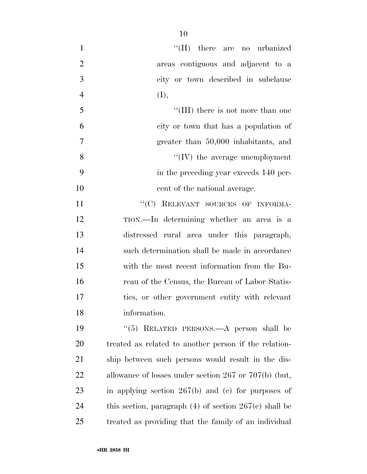| $\mathbf{1}$   | "(II) there are no urbanized                               |
|----------------|------------------------------------------------------------|
| $\overline{2}$ | areas contiguous and adjacent to a                         |
| 3              | city or town described in subclause                        |
| $\overline{4}$ | (I),                                                       |
| 5              | "(III) there is not more than one                          |
| 6              | city or town that has a population of                      |
| $\overline{7}$ | greater than 50,000 inhabitants, and                       |
| 8              | $\lq\lq$ (IV) the average unemployment                     |
| 9              | in the preceding year exceeds 140 per-                     |
| 10             | cent of the national average.                              |
| 11             | "(C) RELEVANT SOURCES OF INFORMA-                          |
| 12             | TION.—In determining whether an area is a                  |
| 13             | distressed rural area under this paragraph,                |
| 14             | such determination shall be made in accordance             |
| 15             | with the most recent information from the Bu-              |
| 16             | reau of the Census, the Bureau of Labor Statis-            |
| 17             | tics, or other government entity with relevant             |
| 18             | information.                                               |
| 19             | " $(5)$ RELATED PERSONS.—A person shall be                 |
| 20             | treated as related to another person if the relation-      |
| 21             | ship between such persons would result in the dis-         |
| 22             | allowance of losses under section $267$ or $707(b)$ (but,  |
| 23             | in applying section $267(b)$ and (c) for purposes of       |
| 24             | this section, paragraph $(4)$ of section $267(c)$ shall be |
| 25             | treated as providing that the family of an individual      |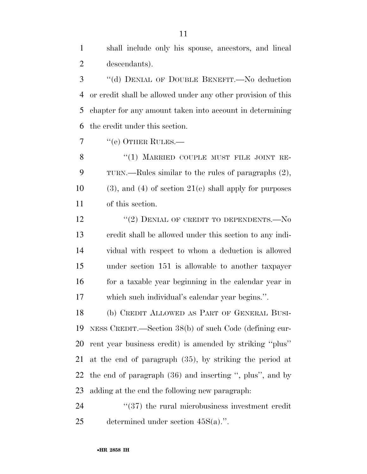shall include only his spouse, ancestors, and lineal descendants).

 ''(d) DENIAL OF DOUBLE BENEFIT.—No deduction or credit shall be allowed under any other provision of this chapter for any amount taken into account in determining the credit under this section.

7 "(e) OTHER RULES.—

8 "(1) MARRIED COUPLE MUST FILE JOINT RE- TURN.—Rules similar to the rules of paragraphs (2), (3), and (4) of section 21(e) shall apply for purposes of this section.

12 "(2) DENIAL OF CREDIT TO DEPENDENTS.—No credit shall be allowed under this section to any indi- vidual with respect to whom a deduction is allowed under section 151 is allowable to another taxpayer for a taxable year beginning in the calendar year in which such individual's calendar year begins.''.

 (b) CREDIT ALLOWED AS PART OF GENERAL BUSI- NESS CREDIT.—Section 38(b) of such Code (defining cur- rent year business credit) is amended by striking ''plus'' at the end of paragraph (35), by striking the period at the end of paragraph (36) and inserting '', plus'', and by adding at the end the following new paragraph:

24  $(37)$  the rural microbusiness investment credit determined under section 45S(a).''.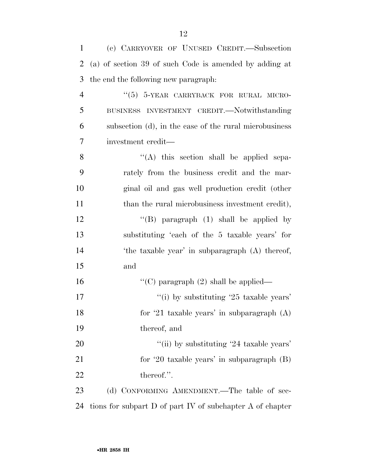| $\mathbf{1}$   | (c) CARRYOVER OF UNUSED CREDIT.-Subsection                |
|----------------|-----------------------------------------------------------|
| $\overline{2}$ | (a) of section 39 of such Code is amended by adding at    |
| 3              | the end the following new paragraph:                      |
| $\overline{4}$ | "(5) 5-YEAR CARRYBACK FOR RURAL MICRO-                    |
| 5              | BUSINESS INVESTMENT CREDIT. Notwithstanding               |
| 6              | subsection (d), in the case of the rural microbusiness    |
| 7              | investment credit—                                        |
| 8              | $\lq\lq$ this section shall be applied sepa-              |
| 9              | rately from the business credit and the mar-              |
| 10             | ginal oil and gas well production credit (other           |
| 11             | than the rural microbusiness investment credit),          |
| 12             | "(B) paragraph $(1)$ shall be applied by                  |
| 13             | substituting 'each of the 5 taxable years' for            |
| 14             | 'the taxable year' in subparagraph (A) thereof,           |
| 15             | and                                                       |
| 16             | "(C) paragraph $(2)$ shall be applied—                    |
| 17             | "(i) by substituting $25$ taxable years'                  |
| 18             | for '21 taxable years' in subparagraph $(A)$              |
| 19             | thereof, and                                              |
| 20             | "(ii) by substituting '24 taxable years'                  |
| 21             | for '20 taxable years' in subparagraph $(B)$              |
| 22             | thereof.".                                                |
| 23             | (d) CONFORMING AMENDMENT.—The table of sec-               |
| 24             | tions for subpart D of part IV of subchapter A of chapter |